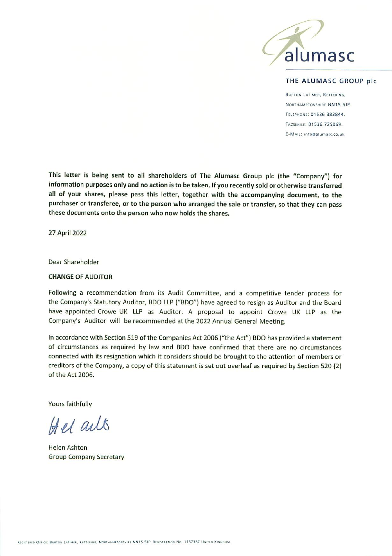

## THE ALUMASC GROUP plc

**BURTON LATIMER, KETTERING,** NORTHAMPTONSHIRE NN15 5JP. TELEPHONE: 01536 383844. FACSIMILE: 01536 725069. E-MAIL: info@alumasc.co.uk

This letter is being sent to all shareholders of The Alumasc Group plc (the "Company") for information purposes only and no action is to be taken. If you recently sold or otherwise transferred all of your shares, please pass this letter, together with the accompanying document, to the purchaser or transferee, or to the person who arranged the sale or transfer, so that they can pass these documents onto the person who now holds the shares.

27 April 2022

Dear Shareholder

## **CHANGE OF AUDITOR**

Following a recommendation from its Audit Committee, and a competitive tender process for the Company's Statutory Auditor, BDO LLP ("BDO") have agreed to resign as Auditor and the Board have appointed Crowe UK LLP as Auditor. A proposal to appoint Crowe UK LLP as the Company's Auditor will be recommended at the 2022 Annual General Meeting.

In accordance with Section 519 of the Companies Act 2006 ("the Act") BDO has provided a statement of circumstances as required by law and BDO have confirmed that there are no circumstances connected with its resignation which it considers should be brought to the attention of members or creditors of the Company, a copy of this statement is set out overleaf as required by Section 520 (2) of the Act 2006.

Yours faithfully

Hel ails

**Helen Ashton Group Company Secretary**